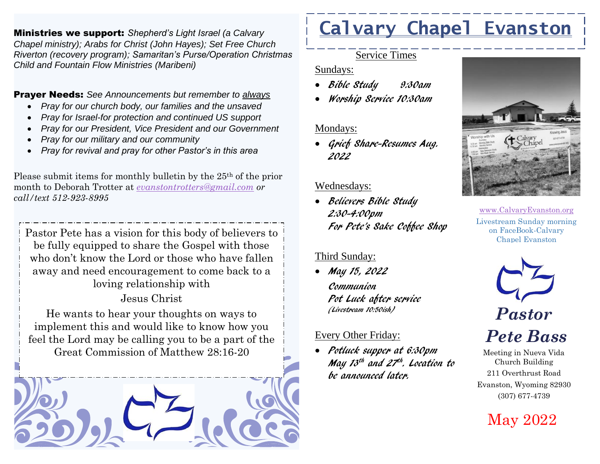Ministries we support: *Shepherd's Light Israel (a Calvary Chapel ministry); Arabs for Christ (John Hayes); Set Free Church Riverton (recovery program); Samaritan's Purse/Operation Christmas Child and Fountain Flow Ministries (Maribeni)*

Prayer Needs: *See Announcements but remember to always*

- *Pray for our church body, our families and the unsaved*
- *Pray for Israel-for protection and continued US support*
- *Pray for our President, Vice President and our Government*
- *Pray for our military and our community*
- *Pray for revival and pray for other Pastor's in this area*

Please submit items for monthly bulletin by the 25th of the prior month to Deborah Trotter at *[evanstontrotters@gmail.com](mailto:evanstontrotters@gmail.com) or call/text 512-923-8995*

Pastor Pete has a vision for this body of believers to be fully equipped to share the Gospel with those who don't know the Lord or those who have fallen away and need encouragement to come back to a loving relationship with

Jesus Christ

He wants to hear your thoughts on ways to implement this and would like to know how you feel the Lord may be calling you to be a part of the Great Commission of Matthew 28:16-20



# **Calvary Chapel Evanston**

#### Service Times

#### Sundays:

- Bible Study 9:30am
- Worship Service 10:30am

#### Mondays:

• Grief Share-Resumes Aug. 2022

#### Wednesdays:

• Believers Bible Study 2:30-4:00pm For Pete's Sake Coffee Shop

#### Third Sunday:

• May 15, 2022 Communion Pot Luck after service (Livestream 10:50ish)

#### Every Other Friday:

• Potluck supper at 6:30pm May 13<sup>th</sup> and 27<sup>th</sup>. Location to be announced later.



[www.CalvaryEvanston.org](http://www.calvaryevanston.org/) Livestream Sunday morning on FaceBook-Calvary Chapel Evanston



*Pete Bass*

Meeting in Nueva Vida Church Building 211 Overthrust Road Evanston, Wyoming 82930 (307) 677-4739

## May 2022